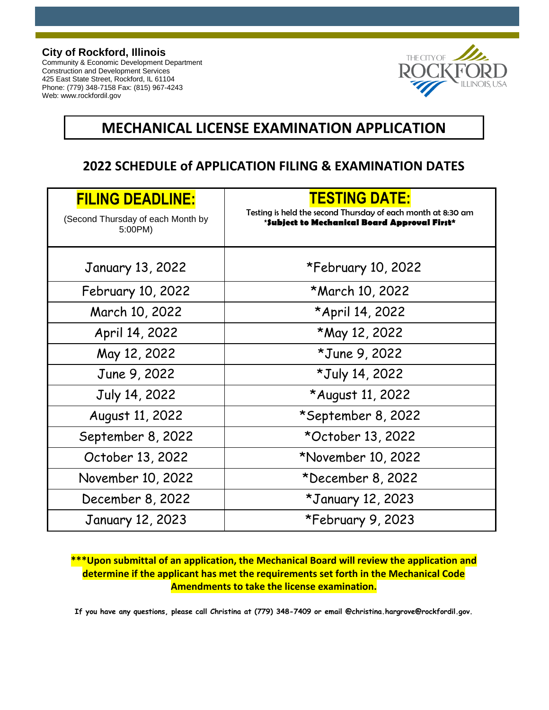#### **City of Rockford, Illinois**

Community & Economic Development Department Construction and Development Services 425 East State Street, Rockford, IL 61104 Phone: (779) 348-7158 Fax: (815) 967-4243 Web: www.rockfordil.gov



### **MECHANICAL LICENSE EXAMINATION APPLICATION**

### **2022 SCHEDULE of APPLICATION FILING & EXAMINATION DATES**

| <b>FILING DEADLINE:</b><br>(Second Thursday of each Month by<br>5:00PM) | <b>TESTING DATE:</b><br>Testing is held the second Thursday of each month at 8:30 am<br>*Subject to Mechanical Board Approval First* |  |  |  |
|-------------------------------------------------------------------------|--------------------------------------------------------------------------------------------------------------------------------------|--|--|--|
|                                                                         |                                                                                                                                      |  |  |  |
| <b>January 13, 2022</b>                                                 | *February 10, 2022                                                                                                                   |  |  |  |
| February 10, 2022                                                       | *March 10, 2022                                                                                                                      |  |  |  |
| March 10, 2022                                                          | *April 14, 2022                                                                                                                      |  |  |  |
| April 14, 2022                                                          | *May 12, 2022                                                                                                                        |  |  |  |
| May 12, 2022                                                            | *June 9, 2022                                                                                                                        |  |  |  |
| June 9, 2022                                                            | *July 14, 2022                                                                                                                       |  |  |  |
| July 14, 2022                                                           | *August 11, 2022                                                                                                                     |  |  |  |
| August 11, 2022                                                         | *September 8, 2022                                                                                                                   |  |  |  |
| September 8, 2022                                                       | *October 13, 2022                                                                                                                    |  |  |  |
| October 13, 2022                                                        | *November 10, 2022                                                                                                                   |  |  |  |
| November 10, 2022                                                       | *December 8, 2022                                                                                                                    |  |  |  |
| December 8, 2022                                                        | *January 12, 2023                                                                                                                    |  |  |  |
| <b>January 12, 2023</b>                                                 | *February 9, 2023                                                                                                                    |  |  |  |

### **\*\*\*Upon submittal of an application, the Mechanical Board will review the application and determine if the applicant has met the requirements set forth in the Mechanical Code Amendments to take the license examination.**

**If you have any questions, please call Christina at (779) 348-7409 or email @christina.hargrove@rockfordil.gov.**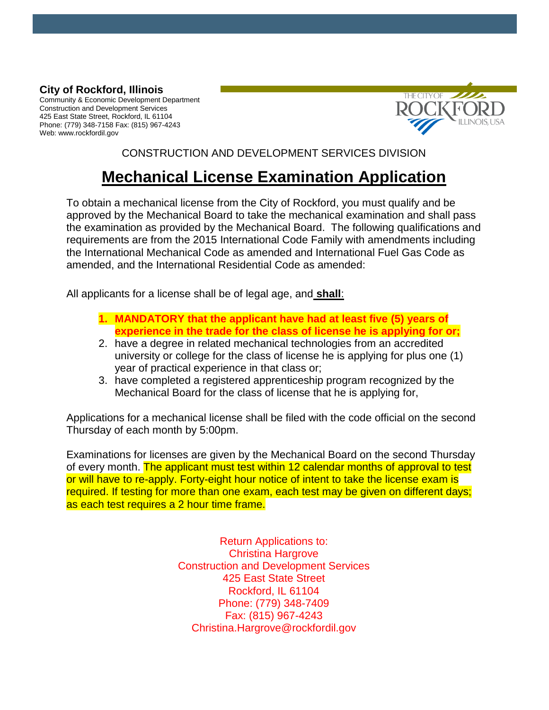### **City of Rockford, Illinois**

Community & Economic Development Department Construction and Development Services 425 East State Street, Rockford, IL 61104 Phone: (779) 348-7158 Fax: (815) 967-4243 Web: www.rockfordil.gov



CONSTRUCTION AND DEVELOPMENT SERVICES DIVISION

## **Mechanical License Examination Application**

To obtain a mechanical license from the City of Rockford, you must qualify and be approved by the Mechanical Board to take the mechanical examination and shall pass the examination as provided by the Mechanical Board. The following qualifications and requirements are from the 2015 International Code Family with amendments including the International Mechanical Code as amended and International Fuel Gas Code as amended, and the International Residential Code as amended:

All applicants for a license shall be of legal age, and **shall**:

- **1. MANDATORY that the applicant have had at least five (5) years of experience in the trade for the class of license he is applying for or;**
- 2. have a degree in related mechanical technologies from an accredited university or college for the class of license he is applying for plus one (1) year of practical experience in that class or;
- 3. have completed a registered apprenticeship program recognized by the Mechanical Board for the class of license that he is applying for,

Applications for a mechanical license shall be filed with the code official on the second Thursday of each month by 5:00pm.

Examinations for licenses are given by the Mechanical Board on the second Thursday of every month. The applicant must test within 12 calendar months of approval to test or will have to re-apply. Forty-eight hour notice of intent to take the license exam is required. If testing for more than one exam, each test may be given on different days; as each test requires a 2 hour time frame.

> Return Applications to: Christina Hargrove Construction and Development Services 425 East State Street Rockford, IL 61104 Phone: (779) 348-7409 Fax: (815) 967-4243 Christina.Hargrove@rockfordil.gov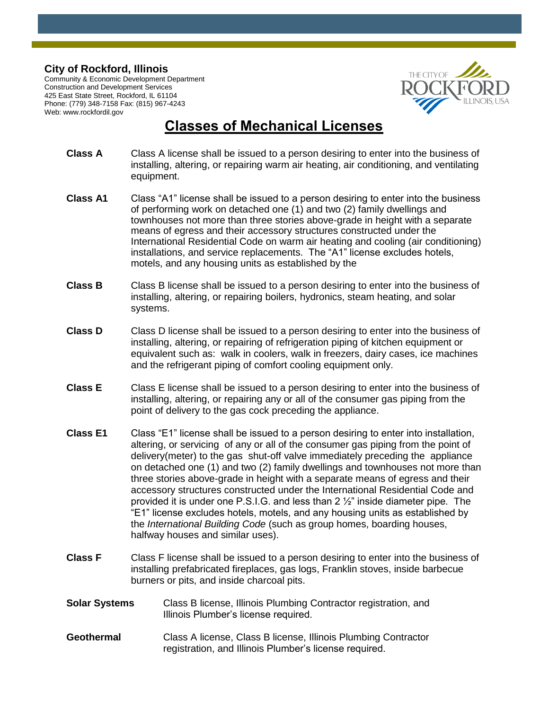#### **City of Rockford, Illinois**

Community & Economic Development Department Construction and Development Services 425 East State Street, Rockford, IL 61104 Phone: (779) 348-7158 Fax: (815) 967-4243 Web: www.rockfordil.gov



### **Classes of Mechanical Licenses**

- **Class A** Class A license shall be issued to a person desiring to enter into the business of installing, altering, or repairing warm air heating, air conditioning, and ventilating equipment.
- **Class A1** Class "A1" license shall be issued to a person desiring to enter into the business of performing work on detached one (1) and two (2) family dwellings and townhouses not more than three stories above-grade in height with a separate means of egress and their accessory structures constructed under the International Residential Code on warm air heating and cooling (air conditioning) installations, and service replacements. The "A1" license excludes hotels, motels, and any housing units as established by the
- **Class B** Class B license shall be issued to a person desiring to enter into the business of installing, altering, or repairing boilers, hydronics, steam heating, and solar systems.
- **Class D** Class D license shall be issued to a person desiring to enter into the business of installing, altering, or repairing of refrigeration piping of kitchen equipment or equivalent such as: walk in coolers, walk in freezers, dairy cases, ice machines and the refrigerant piping of comfort cooling equipment only.
- **Class E** Class E license shall be issued to a person desiring to enter into the business of installing, altering, or repairing any or all of the consumer gas piping from the point of delivery to the gas cock preceding the appliance.
- **Class E1** Class "E1" license shall be issued to a person desiring to enter into installation, altering, or servicing of any or all of the consumer gas piping from the point of delivery(meter) to the gas shut-off valve immediately preceding the appliance on detached one (1) and two (2) family dwellings and townhouses not more than three stories above-grade in height with a separate means of egress and their accessory structures constructed under the International Residential Code and provided it is under one P.S.I.G. and less than 2 ½" inside diameter pipe. The "E1" license excludes hotels, motels, and any housing units as established by the *International Building Code* (such as group homes, boarding houses, halfway houses and similar uses).
- **Class F** Class F license shall be issued to a person desiring to enter into the business of installing prefabricated fireplaces, gas logs, Franklin stoves, inside barbecue burners or pits, and inside charcoal pits.
- **Solar Systems** Class B license, Illinois Plumbing Contractor registration, and Illinois Plumber's license required.
- **Geothermal** Class A license, Class B license, Illinois Plumbing Contractor registration, and Illinois Plumber's license required.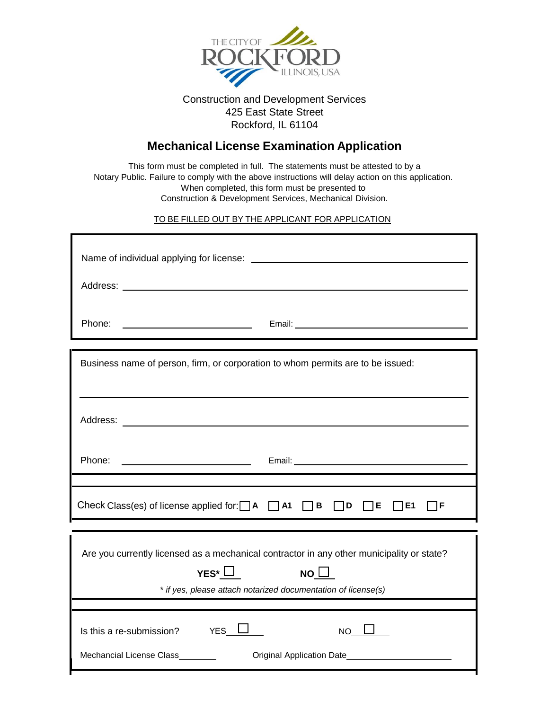

#### Construction and Development Services 425 East State Street Rockford, IL 61104

### **Mechanical License Examination Application**

This form must be completed in full. The statements must be attested to by a Notary Public. Failure to comply with the above instructions will delay action on this application. When completed, this form must be presented to Construction & Development Services, Mechanical Division.

TO BE FILLED OUT BY THE APPLICANT FOR APPLICATION

| Business name of person, firm, or corporation to whom permits are to be issued:                                                                                                                                                          |  |  |  |  |
|------------------------------------------------------------------------------------------------------------------------------------------------------------------------------------------------------------------------------------------|--|--|--|--|
|                                                                                                                                                                                                                                          |  |  |  |  |
| Email: experience and a series of the series of the series of the series of the series of the series of the series of the series of the series of the series of the series of the series of the series of the series of the se<br>Phone: |  |  |  |  |
| Check Class(es) of license applied for: $\Box A$ $\Box A$ $\Box B$ $\Box D$ $\Box E$ $\Box E1$<br>ㄱF                                                                                                                                     |  |  |  |  |
| Are you currently licensed as a mechanical contractor in any other municipality or state?<br>YES* $\Box$<br>NO $\Box$<br>* if yes, please attach notarized documentation of license(s)                                                   |  |  |  |  |
| Is this a re-submission? $YES$ L<br>$NO$ $\Box$<br>Mechancial License Class<br>Original Application Date<br><u>Date</u>                                                                                                                  |  |  |  |  |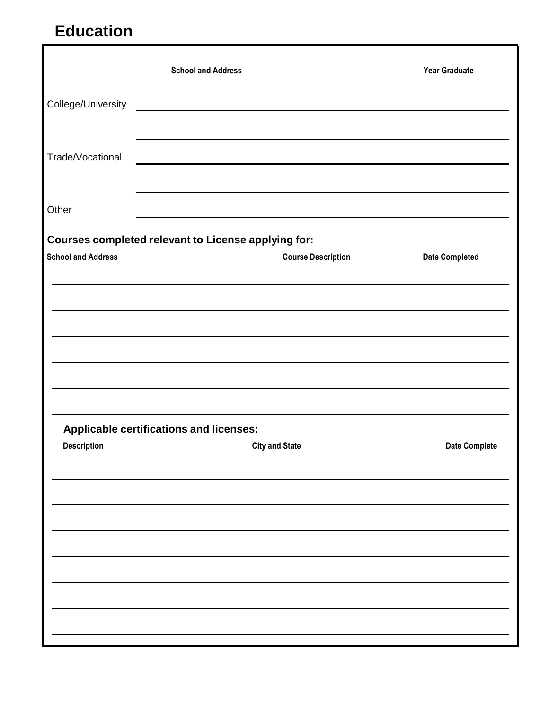# **Education**

|                                                     | <b>School and Address</b>               |                                                                                                                                                                                                                               | <b>Year Graduate</b>  |
|-----------------------------------------------------|-----------------------------------------|-------------------------------------------------------------------------------------------------------------------------------------------------------------------------------------------------------------------------------|-----------------------|
|                                                     |                                         |                                                                                                                                                                                                                               |                       |
|                                                     |                                         |                                                                                                                                                                                                                               |                       |
| Trade/Vocational                                    |                                         | the control of the control of the control of the control of the control of the control of the control of the control of the control of the control of the control of the control of the control of the control of the control |                       |
|                                                     |                                         |                                                                                                                                                                                                                               |                       |
| Other                                               |                                         | <u> 1989 - Johann Barnett, fransk politiker (d. 1989)</u>                                                                                                                                                                     |                       |
| Courses completed relevant to License applying for: |                                         |                                                                                                                                                                                                                               |                       |
| <b>School and Address</b>                           |                                         | <b>Course Description</b>                                                                                                                                                                                                     | <b>Date Completed</b> |
|                                                     |                                         |                                                                                                                                                                                                                               |                       |
|                                                     |                                         |                                                                                                                                                                                                                               |                       |
|                                                     |                                         |                                                                                                                                                                                                                               |                       |
|                                                     |                                         |                                                                                                                                                                                                                               |                       |
|                                                     |                                         |                                                                                                                                                                                                                               |                       |
|                                                     | Applicable certifications and licenses: |                                                                                                                                                                                                                               |                       |
| <b>Description</b>                                  |                                         | <b>City and State</b>                                                                                                                                                                                                         | <b>Date Complete</b>  |
|                                                     |                                         |                                                                                                                                                                                                                               |                       |
|                                                     |                                         |                                                                                                                                                                                                                               |                       |
|                                                     |                                         |                                                                                                                                                                                                                               |                       |
|                                                     |                                         |                                                                                                                                                                                                                               |                       |
|                                                     |                                         |                                                                                                                                                                                                                               |                       |
|                                                     |                                         |                                                                                                                                                                                                                               |                       |
|                                                     |                                         |                                                                                                                                                                                                                               |                       |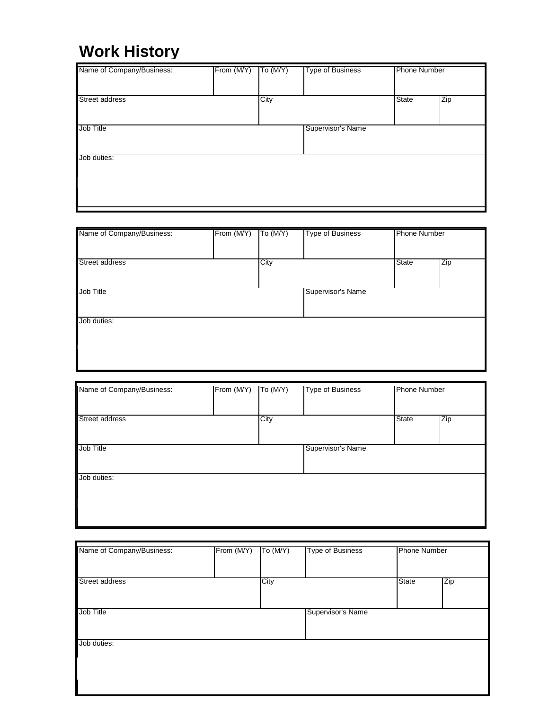## **Work History**

| Name of Company/Business: | From (M/Y) | To $(M/Y)$ | <b>Type of Business</b> | <b>Phone Number</b> |     |
|---------------------------|------------|------------|-------------------------|---------------------|-----|
| Street address            |            | City       |                         | State               | Zip |
| Job Title                 |            |            | Supervisor's Name       |                     |     |
| Job duties:               |            |            |                         |                     |     |

| Name of Company/Business: | From (M/Y) | To $(M/Y)$ | <b>Type of Business</b> | <b>Phone Number</b> |     |
|---------------------------|------------|------------|-------------------------|---------------------|-----|
| Street address            |            | City       |                         | <b>State</b>        | Zip |
| Job Title                 |            |            | Supervisor's Name       |                     |     |
| Job duties:               |            |            |                         |                     |     |
|                           |            |            |                         |                     |     |

| Name of Company/Business: | From (M/Y) | To (M/Y) | <b>Type of Business</b> |       | <b>Phone Number</b> |  |
|---------------------------|------------|----------|-------------------------|-------|---------------------|--|
| Street address            |            | City     |                         | State | $\overline{zip}$    |  |
| Job Title                 |            |          | Supervisor's Name       |       |                     |  |
| Job duties:               |            |          |                         |       |                     |  |
|                           |            |          |                         |       |                     |  |
|                           |            |          |                         |       |                     |  |

| Name of Company/Business: | From (M/Y) | To $(M/Y)$ | <b>Type of Business</b> |              | <b>Phone Number</b> |  |
|---------------------------|------------|------------|-------------------------|--------------|---------------------|--|
| <b>Street address</b>     |            | City       |                         | <b>State</b> | Zip                 |  |
| Job Title                 |            |            | Supervisor's Name       |              |                     |  |
| Job duties:               |            |            |                         |              |                     |  |
|                           |            |            |                         |              |                     |  |
|                           |            |            |                         |              |                     |  |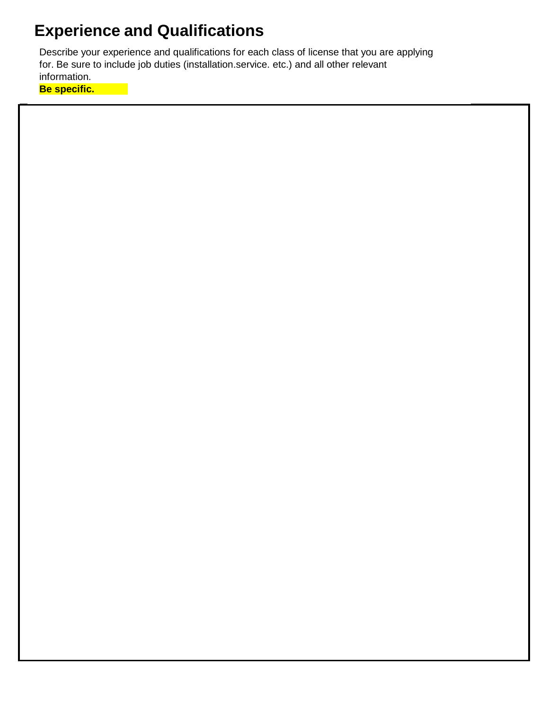## **Experience and Qualifications**

Describe your experience and qualifications for each class of license that you are applying for. Be sure to include job duties (installation.service. etc.) and all other relevant information.

**Be specific.**